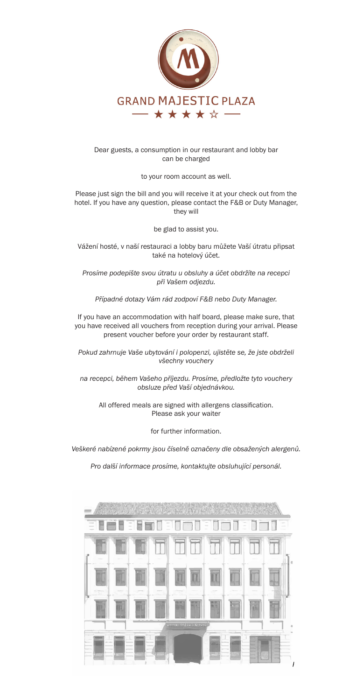

#### Dear guests, a consumption in our restaurant and lobby bar can be charged

to your room account as well.

Please just sign the bill and you will receive it at your check out from the hotel. If you have any question, please contact the F&B or Duty Manager, they will

be glad to assist you.

Vážení hosté, v naší restauraci a lobby baru můžete Vaší útratu připsat také na hotelový účet.

*Prosíme podepište svou útratu u obsluhy a účet obdržíte na recepci při Vašem odjezdu.*

*Případné dotazy Vám rád zodpoví F&B nebo Duty Manager.*

If you have an accommodation with half board, please make sure, that you have received all vouchers from reception during your arrival. Please present voucher before your order by restaurant staff.

*Pokud zahrnuje Vaše ubytování i polopenzi, ujistěte se, že jste obdrželi všechny vouchery*

*na recepci, během Vašeho příjezdu. Prosíme, předložte tyto vouchery obsluze před Vaší objednávkou.*

All offered meals are signed with allergens classification. Please ask your waiter

for further information.

*Veškeré nabízené pokrmy jsou číselně označeny dle obsažených alergenů.*

*Pro další informace prosíme, kontaktujte obsluhující personál.*

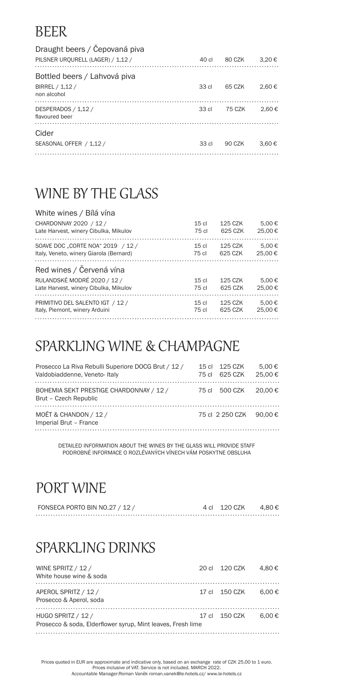#### BEER

| Draught beers / Cepovaná piva<br>PILSNER URQURELL (LAGER) / 1,12 / | 40 cl | 80 CZK | 3.20€ |
|--------------------------------------------------------------------|-------|--------|-------|
| Bottled beers / Lahvová piva                                       |       |        |       |
| BIRREL / 1,12 /<br>non alcohol                                     | 33 cl | 65 CZK | 2.60€ |
| DESPERADOS / 1,12 /<br>flavoured beer                              | 33 cl | 75 CZK | 2.60€ |
| Cider                                                              |       |        |       |
| SEASONAL OFFER / 1,12 /                                            | 33 cl | 90 CZK | 3.60€ |
|                                                                    |       |        |       |

#### WINE BY THE GLASS

| White wines / Bílá vína                 |                  |         |        |
|-----------------------------------------|------------------|---------|--------|
| CHARDONNAY 2020 / 12 /                  | 15 <sub>cl</sub> | 125 CZK | 5.00 € |
| Late Harvest, winery Cibulka, Mikulov   | 75 cl            | 625 CZK | 25.00€ |
| SOAVE DOC "CORTE NOA" 2019 / 12 /       | 15 <sub>cl</sub> | 125 CZK | 5.00€  |
| Italy, Veneto, winery Giarola (Bernard) | 75 cl            | 625 CZK | 25.00€ |
| Red wines / Červená vína                |                  |         |        |
| RULANDSKÉ MODRÉ 2020 / 12 /             | 15 <sub>cl</sub> | 125 CZK | 5.00€  |
| Late Harvest, winery Cibulka, Mikulov   | 75 cl            | 625 CZK | 25.00€ |
| PRIMITIVO DEL SALENTO IGT / 12 /        | 15 <sub>cl</sub> | 125 CZK | 5.00€  |
| Italy, Piemont, winery Arduini          | 75 cl            | 625 CZK | 25.00€ |
|                                         |                  |         |        |

#### SPARKLING WINE & CHAMPAGNE

| Prosecco La Riva Rebulli Superiore DOCG Brut / 12 /<br>Valdobiaddenne, Veneto-Italy | 75 cl | 15 cl 125 CZK<br>625 CZK | 5.00 €<br>25.00€ |
|-------------------------------------------------------------------------------------|-------|--------------------------|------------------|
| BOHEMIA SEKT PRESTIGE CHARDONNAY / 12 /<br>Brut - Czech Republic                    |       | 75 cl 500 CZK            | 20.00€           |
| MOËT & CHANDON / 12 /<br>Imperial Brut - France                                     |       | 75 cl 2 250 CZK 90.00 €  |                  |

DETAILED INFORMATION ABOUT THE WINES BY THE GLASS WILL PROVIDE STAFF PODROBNÉ INFORMACE O ROZLÉVANÝCH VÍNECH VÁM POSKYTNE OBSLUHA

#### PORT WINE

| FONSECA PORTO BIN NO.27 / 12 / | 4 cl 120 CZK | 4.80 € |
|--------------------------------|--------------|--------|
|                                |              |        |

#### SPARKLING DRINKS

| WINE SPRITZ / 12 /<br>White house wine & soda                                     | 20 cl 120 CZK | 4.80 €          |
|-----------------------------------------------------------------------------------|---------------|-----------------|
| APEROL SPRITZ / 12 /<br>Prosecco & Aperol, soda                                   | 17 cl 150 CZK | 6.00 €          |
| HUGO SPRITZ / 12 /<br>Prosecco & soda, Elderflower syrup, Mint leaves, Fresh lime | 17 cl 150 CZK | 6.00 $\epsilon$ |

Prices quoted in EUR are approximate and indicative only, based on an exchange rate of CZK 25,00 to 1 euro. Prices inclusive of VAT. Service is not included. MARCH 2022. Accountable Manager:Roman Vaněk roman.vanek@le-hotels.cz/ www.le-hotels.cz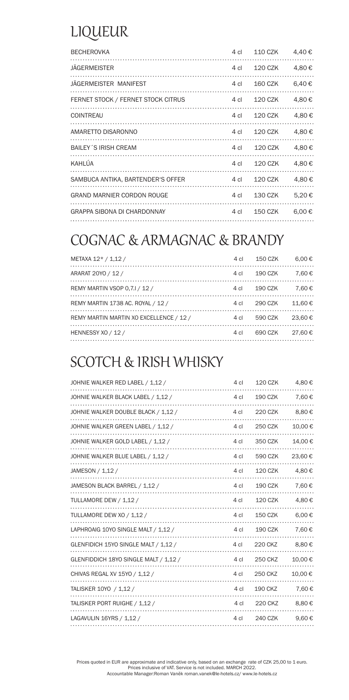### LIQUEUR

| <b>BECHEROVKA</b>                  | 4 cl      | 110 CZK | 4,40€           |
|------------------------------------|-----------|---------|-----------------|
| <b>JÄGERMEISTER</b>                | 4 cl      | 120 CZK | 4,80€           |
| JÄGERMEISTER MANIFEST              | 4 cl      | 160 CZK | 6,40€           |
| FERNET STOCK / FERNET STOCK CITRUS | 4 cl      | 120 CZK | 4,80€           |
| <b>COINTREAU</b>                   | 4 cl      | 120 CZK | 4.80 €          |
| AMARETTO DISARONNO                 | $4 \,$ cl | 120 CZK | 4.80€           |
| <b>BAILEY S IRISH CREAM</b>        | 4 cl      | 120 CZK | 4,80 €          |
| KAHLÚA                             | $4 \,$ cl | 120 CZK | 4.80€           |
| SAMBUCA ANTIKA, BARTENDER'S OFFER  | 4 cl      | 120 CZK | 4,80€           |
| <b>GRAND MARNIER CORDON ROUGE</b>  | 4 cl      | 130 CZK | 5,20€           |
| <b>GRAPPA SIBONA DI CHARDONNAY</b> | 4 cl      | 150 CZK | 6.00 $\epsilon$ |
|                                    |           |         |                 |

#### COGNAC & ARMAGNAC & BRANDY

| METAXA 12* / 1,12 /                     |      | 4 cl  150 CZK | 6.00 $\epsilon$ |
|-----------------------------------------|------|---------------|-----------------|
| ARARAT 20YO / 12 /                      |      | 4 cl  190 CZK | 7.60€           |
| REMY MARTIN VSOP 0.7.1 / 12 /           |      | 4 cl  190 CZK | 7.60€           |
| REMY MARTIN 1738 AC. ROYAL / 12 /       |      | 4 cl 290 CZK  | 11.60€          |
| REMY MARTIN MARTIN XO EXCELLENCE / 12 / | 4 cl | 590 CZK       | 23.60€          |
| HENNESSY XO / 12 /                      | 4 cl | 690 CZK       | 27.60€          |
|                                         |      |               |                 |

#### SCOTCH & IRISH WHISKY

| JOHNIE WALKER RED LABEL / 1,12 /      | 4 cl            | <b>120 CZK</b> | 4,80€   |
|---------------------------------------|-----------------|----------------|---------|
| JOHNIE WALKER BLACK LABEL / 1,12 /    | 4 cl            | <b>190 CZK</b> | 7,60€   |
| JOHNIE WALKER DOUBLE BLACK / 1,12 /   | 4 cl            | <b>220 CZK</b> | 8,80€   |
| JOHNIE WALKER GREEN LABEL / 1,12 /    | 4 cl            | 250 CZK        | 10,00€  |
| JOHNIE WALKER GOLD LABEL / 1,12 /     | 4 cl            | 350 CZK        | 14,00 € |
| JOHNIE WALKER BLUE LABEL / 1,12 /     | 4 cl            | 590 CZK        | 23,60€  |
| JAMESON / 1,12 /                      | 4 cl            | <b>120 CZK</b> | 4,80€   |
| JAMESON BLACK BARREL / 1,12 /         | 4 cl            | <b>190 CZK</b> | 7,60€   |
| TULLAMORE DEW / 1,12 /                | 4 cl            | <b>120 CZK</b> | 4,80€   |
| TULLAMORE DEW XO / 1,12 /             | 4 cl            | <b>150 CZK</b> | 6,00€   |
| LAPHROAIG 10YO SINGLE MALT / 1,12 /   | 4 cl            | <b>190 CZK</b> | 7,60€   |
| GLENFIDICH 15YO SINGLE MALT / 1,12 /  | 4 cl            | <b>220 CKZ</b> | 8,80€   |
| GLENFIDDICH 18YO SINGLE MALT / 1,12 / | 4 cl            | 250 CKZ        | 10,00€  |
| CHIVAS REGAL XV 15YO / 1,12 /         | 4 cl            | <b>250 CKZ</b> | 10,00€  |
| TALISKER 10YO / 1,12 /                | 4 cl            | <b>190 CKZ</b> | 7,60€   |
| TALISKER PORT RUIGHE / 1,12 /         | 4 cl            | <b>220 CKZ</b> | 8,80€   |
| LAGAVULIN 16YRS / 1,12 /              | 4 <sub>cl</sub> | 240 CZK        | 9,60€   |
|                                       |                 |                |         |

Prices quoted in EUR are approximate and indicative only, based on an exchange rate of CZK 25,00 to 1 euro.<br>Prices inclusive of VAT. Service is not included. MARCH 2022.<br>Accountable Manager:Roman Vaněk roman.vanek@le-hote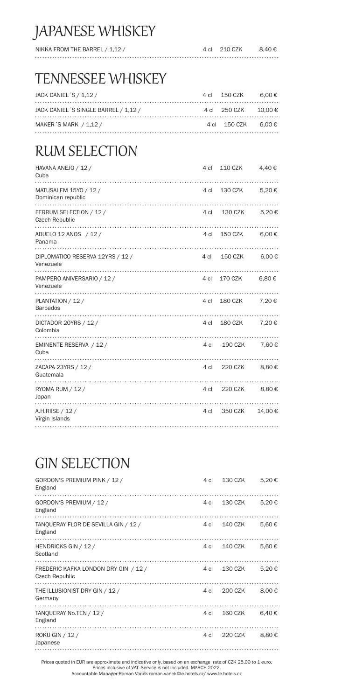#### JAPANESE WHISKEY

| NIKKA FROM THE BARREL / 1,12 / | 4 cl 210 CZK | 8.40 € |
|--------------------------------|--------------|--------|
|                                |              |        |

#### TENNESSEE WHISKEY

| JACK DANIEL S / 1.12 /                | 4 cl 150 CZK 6.00 €  |  |
|---------------------------------------|----------------------|--|
| JACK DANIEL 'S SINGLE BARREL / 1.12 / | 4 cl 250 CZK 10.00 € |  |
| MAKER S MARK / 1.12 /                 | 4 cl 150 CZK 6.00 €  |  |

#### RUM SELECTION

| 4 cl      | <b>110 CZK</b> | 4,40€        |
|-----------|----------------|--------------|
| 4 cl      | 130 CZK        | 5,20€        |
| 4 cl      | 130 CZK        | 5,20€        |
| $4 \,$ cl | 150 CZK        | $6,00 \in$   |
| 4 cl      | 150 CZK        | $6,00 \in$   |
|           | 170 CZK        | $6,80 \in$   |
| 4 cl      | 180 CZK        | 7,20€        |
| 4 cl      | 180 CZK        | 7,20€        |
|           | 190 CZK        | 7,60€        |
| 4 cl      | 220 CZK        | 8,80€        |
| 4 cl      | 220 CZK        | 8,80€        |
| 4 cl      | 350 CZK        | 14,00€       |
|           |                | 4 cl<br>4 cl |

#### GIN SELECTION

| GORDON'S PREMIUM PINK / 12 /<br>England                       | 4 cl | 130 CZK | 5,20€  |
|---------------------------------------------------------------|------|---------|--------|
| GORDON'S PREMIUM / 12 /<br>England                            | 4 cl | 130 CZK | 5,20€  |
| TANQUERAY FLOR DE SEVILLA GIN / 12 /<br>England               | 4 cl | 140 CZK | 5,60€  |
| HENDRICKS GIN / 12 /<br>Scotland                              | 4 cl | 140 CZK | 5,60€  |
| FREDERIC KAFKA LONDON DRY GIN / 12 /<br><b>Czech Republic</b> | 4 cl | 130 CZK | 5,20€  |
| THE ILLUSIONIST DRY GIN / 12 /<br>Germany                     | 4 cl | 200 CZK | 8,00 € |
| TANQUERAY No.TEN / 12 /<br>England                            | 4 cl | 160 CZK | 6.40€  |
| ROKU GIN / 12 /<br>Japanese                                   | 4 cl | 220 CZK | 8,80€  |
|                                                               |      |         |        |

Prices quoted in EUR are approximate and indicative only, based on an exchange rate of CZK 25,00 to 1 euro. Prices inclusive of VAT. Service is not included. MARCH 2022. Accountable Manager:Roman Vaněk roman.vanek@le-hotels.cz/ www.le-hotels.cz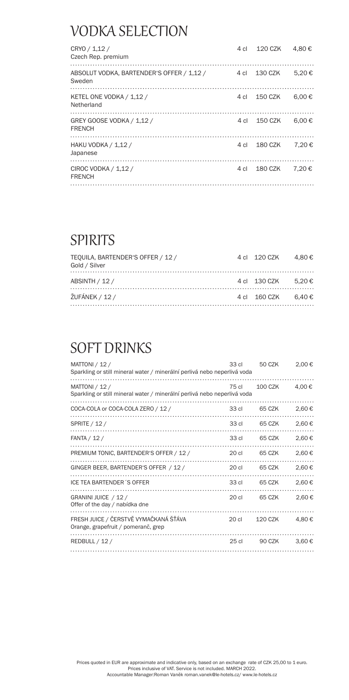#### VODKA SELECTION

| CRYO / 1,12 /<br>Czech Rep. premium                 | 4 cl | 120 CZK | 4.80€           |
|-----------------------------------------------------|------|---------|-----------------|
| ABSOLUT VODKA, BARTENDER'S OFFER / 1,12 /<br>Sweden | 4 cl | 130 CZK | 5.20€           |
| KETEL ONE VODKA / 1,12 /<br>Netherland              | 4 cl | 150 CZK | 6.00 $\epsilon$ |
| GREY GOOSE VODKA / 1,12 /<br><b>FRENCH</b>          | 4 cl | 150 CZK | 6.00 $\epsilon$ |
| HAKU VODKA / 1,12 /<br>Japanese                     | 4 cl | 180 CZK | 7.20€           |
| CIROC VODKA / 1,12 /<br><b>FRENCH</b>               | 4 cl | 180 CZK | 7.20€           |
|                                                     |      |         |                 |

#### SPIRITS

| TEOUILA. BARTENDER'S OFFER / 12 /<br>Gold / Silver | 4 cl 120 CZK 4.80 € |  |
|----------------------------------------------------|---------------------|--|
| ABSINTH / 12 /                                     | 4 cl 130 CZK 5.20 € |  |
| <b>ŽUFÁNEK / 12 /</b>                              | 4 cl 160 CZK 6.40 € |  |

#### SOFT DRINKS

| MATTONI / 12 /<br>Sparkling or still mineral water / minerální perlivá nebo neperlivá voda | 33 cl            | 50 CZK  | 2,00€ |
|--------------------------------------------------------------------------------------------|------------------|---------|-------|
| MATTONI / 12 /<br>Sparkling or still mineral water / minerální perlivá nebo neperlivá voda | 75 cl            | 100 CZK | 4.00€ |
| COCA-COLA or COCA-COLA ZERO / 12 /                                                         | 33 cl            | 65 CZK  | 2,60€ |
| SPRITE / 12 /                                                                              | 33 cl            | 65 CZK  | 2.60€ |
| FANTA / 12 /                                                                               | 33 cl            | 65 CZK  | 2,60€ |
| PREMIUM TONIC, BARTENDER'S OFFER / 12 /                                                    | 20 <sub>cl</sub> | 65 CZK  | 2,60€ |
| GINGER BEER, BARTENDER'S OFFER / 12 /                                                      | 20 <sub>cl</sub> | 65 CZK  | 2,60€ |
| ICE TEA BARTENDER 'S OFFER                                                                 | 33 cl            | 65 CZK  | 2.60€ |
| GRANINI JUICE / 12 /<br>Offer of the day / nabídka dne                                     | 20 cl            | 65 CZK  | 2,60€ |
| FRESH JUICE / ČERSTVĚ VYMAČKANÁ ŠŤÁVA<br>Orange, grapefruit / pomeranč, grep               | 20 cl            | 120 CZK | 4,80€ |
| REDBULL / 12 /                                                                             | 25 cl            | 90 CZK  | 3.60€ |
|                                                                                            |                  |         |       |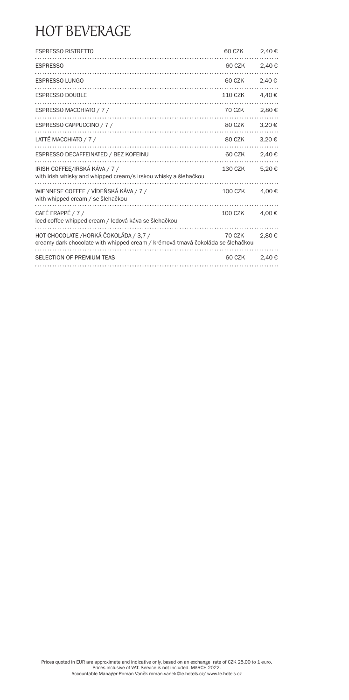#### HOT BEVERAGE

| <b>ESPRESSO RISTRETTO</b>                                                                                                | 60 CZK         | 2,40€ |
|--------------------------------------------------------------------------------------------------------------------------|----------------|-------|
| <b>ESPRESSO</b>                                                                                                          | 60 CZK         | 2,40€ |
| <b>ESPRESSO LUNGO</b>                                                                                                    | 60 CZK         | 2.40€ |
| <b>ESPRESSO DOUBLE</b>                                                                                                   | <b>110 CZK</b> | 4,40€ |
| ESPRESSO MACCHIATO / 7 /                                                                                                 | 70 CZK         | 2,80€ |
| ESPRESSO CAPPUCCINO / 7 /                                                                                                | 80 CZK         | 3,20€ |
| LATTÉ MACCHIATO / 7 /                                                                                                    | 80 CZK         | 3,20€ |
| ESPRESSO DECAFFEINATED / BEZ KOFEINU                                                                                     | 60 CZK         | 2,40€ |
| IRISH COFFEE/IRSKÁ KÁVA / 7 /<br>with irish whisky and whipped cream/s irskou whisky a šlehačkou                         | 130 CZK        | 5.20€ |
| WIENNESE COFFEE / VÍDEŇSKÁ KÁVA / 7 /<br>with whipped cream / se šlehačkou                                               | 100 CZK        | 4,00€ |
| CAFÉ FRAPPÉ / 7 /<br>iced coffee whipped cream / ledová káva se šlehačkou                                                | 100 CZK        | 4,00€ |
| HOT CHOCOLATE / HORKÁ ČOKOLÁDA / 3,7 /<br>creamy dark chocolate with whipped cream / krémová tmavá čokoláda se šlehačkou | 70 CZK         | 2,80€ |
| SELECTION OF PREMIUM TEAS                                                                                                | 60 CZK         | 2,40€ |
|                                                                                                                          |                |       |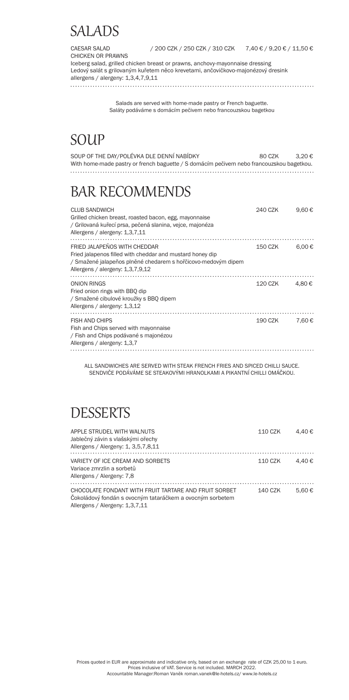#### SALADS

CAESAR SALAD / 200 CZK / 250 CZK / 310 CZK 7,40 € / 9,20 € / 11,50 €

CHICKEN OR PRAWNS Iceberg salad, grilled chicken breast or prawns, anchovy-mayonnaise dressing Ledový salát s grilovaným kuřetem něco krevetami, ančovičkovo-majonézový dresink allergens / alergeny: 1,3,4,7,9,11

> Salads are served with home-made pastry or French baguette. Saláty podáváme s domácím pečivem nebo francouzskou bagetkou

#### SOUP

| SOUP OF THE DAY/POLÉVKA DLE DENNÍ NABÍDKY                                                | 80 CZK | 3.20€ |
|------------------------------------------------------------------------------------------|--------|-------|
| With home-made pastry or french baguette / S domácím pečivem nebo francouzskou bagetkou. |        |       |
|                                                                                          |        |       |

#### BAR RECOMMENDS

| <b>CLUB SANDWICH</b><br>Grilled chicken breast, roasted bacon, egg, mayonnaise<br>/ Grilovaná kuřecí prsa, pečená slanina, vejce, majonéza<br>Allergens / alergeny: 1,3,7,11                   | 240 CZK | 9,60€           |
|------------------------------------------------------------------------------------------------------------------------------------------------------------------------------------------------|---------|-----------------|
| FRIED JALAPENOS WITH CHEDDAR<br>Fried jalapenos filled with cheddar and mustard honey dip<br>/ Smažené jalapeños plněné chedarem s hořčicovo-medovým dipem<br>Allergens / alergeny: 1,3,7,9,12 | 150 CZK | 6.00 $\epsilon$ |
| ONION RINGS<br>Fried onion rings with BBQ dip<br>/ Smažené cibulové kroužky s BBQ dipem<br>Allergens / alergeny: 1,3,12                                                                        | 120 CZK | 4.80€           |
| <b>FISH AND CHIPS</b><br>Fish and Chips served with mayonnaise<br>/ Fish and Chips podávané s majonézou<br>Allergens / alergeny: 1,3,7                                                         | 190 CZK | 7.60€           |
|                                                                                                                                                                                                |         |                 |

ALL SANDWICHES ARE SERVED WITH STEAK FRENCH FRIES AND SPICED CHILLI SAUCE. SENDVIČE PODÁVÁME SE STEAKOVÝMI HRANOLKAMI A PIKANTNÍ CHILLI OMÁČKOU.

#### **DESSERTS**

| APPLE STRUDEL WITH WALNUTS<br>Jablečný závin s vlašskými ořechy<br>Allergens / Alergeny: 1, 3,5,7,8,11                                               | 110 CZK | 4.40 € |
|------------------------------------------------------------------------------------------------------------------------------------------------------|---------|--------|
| VARIETY OF ICE CREAM AND SORBETS<br>Variace zmrzlin a sorbetů<br>Allergens / Alergeny: 7,8                                                           | 110 CZK | 4.40 € |
| CHOCOLATE FONDANT WITH FRUIT TARTARE AND FRUIT SORBET<br>Čokoládový fondán s ovocným tataráčkem a ovocným sorbetem<br>Allergens / Alergeny: 1,3,7,11 | 140 CZK | 5.60€  |